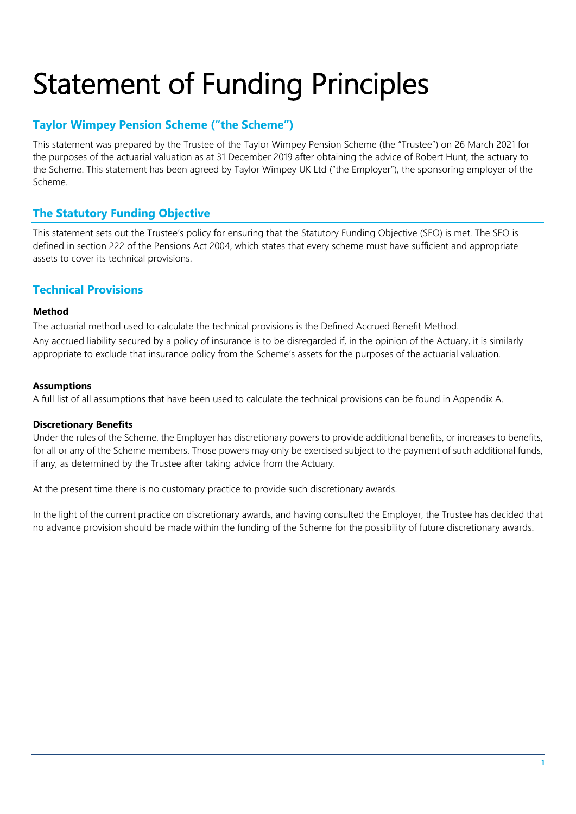## Statement of Funding Principles

## **Taylor Wimpey Pension Scheme ("the Scheme")**

This statement was prepared by the Trustee of the Taylor Wimpey Pension Scheme (the "Trustee") on 26 March 2021 for the purposes of the actuarial valuation as at 31 December 2019 after obtaining the advice of Robert Hunt, the actuary to the Scheme. This statement has been agreed by Taylor Wimpey UK Ltd ("the Employer"), the sponsoring employer of the Scheme.

## **The Statutory Funding Objective**

This statement sets out the Trustee's policy for ensuring that the Statutory Funding Objective (SFO) is met. The SFO is defined in section 222 of the Pensions Act 2004, which states that every scheme must have sufficient and appropriate assets to cover its technical provisions.

#### **Technical Provisions**

#### **Method**

The actuarial method used to calculate the technical provisions is the Defined Accrued Benefit Method. Any accrued liability secured by a policy of insurance is to be disregarded if, in the opinion of the Actuary, it is similarly appropriate to exclude that insurance policy from the Scheme's assets for the purposes of the actuarial valuation.

#### **Assumptions**

A full list of all assumptions that have been used to calculate the technical provisions can be found in Appendix A.

#### **Discretionary Benefits**

Under the rules of the Scheme, the Employer has discretionary powers to provide additional benefits, or increases to benefits, for all or any of the Scheme members. Those powers may only be exercised subject to the payment of such additional funds, if any, as determined by the Trustee after taking advice from the Actuary.

At the present time there is no customary practice to provide such discretionary awards.

In the light of the current practice on discretionary awards, and having consulted the Employer, the Trustee has decided that no advance provision should be made within the funding of the Scheme for the possibility of future discretionary awards.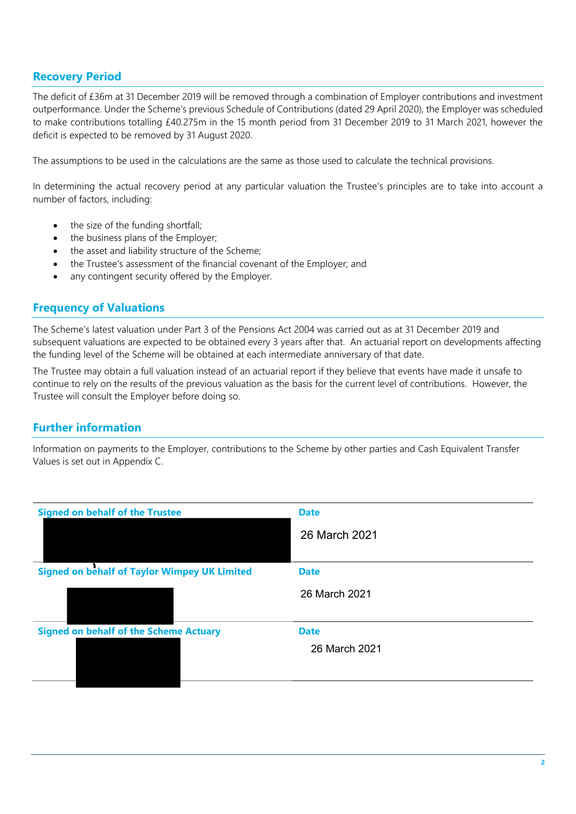### **Recovery Period**

The deficit of £36m at 31 December 2019 will be removed through a combination of Employer contributions and investment outperformance. Under the Scheme's previous Schedule of Contributions (dated 29 April 2020), the Employer was scheduled to make contributions totalling £40.275m in the 15 month period from 31 December 2019 to 31 March 2021, however the deficit is expected to be removed by 31 August 2020.

The assumptions to be used in the calculations are the same as those used to calculate the technical provisions.

In determining the actual recovery period at any particular valuation the Trustee's principles are to take into account a number of factors, including:

- the size of the funding shortfall:
- the business plans of the Employer;
- the asset and liability structure of the Scheme;
- the Trustee's assessment of the financial covenant of the Employer; and
- any contingent security offered by the Employer.

#### **Frequency of Valuations**

The Scheme's latest valuation under Part 3 of the Pensions Act 2004 was carried out as at 31 December 2019 and subsequent valuations are expected to be obtained every 3 years after that. An actuarial report on developments affecting the funding level of the Scheme will be obtained at each intermediate anniversary of that date.

The Trustee may obtain a full valuation instead of an actuarial report if they believe that events have made it unsafe to continue to rely on the results of the previous valuation as the basis for the current level of contributions. However, the Trustee will consult the Employer before doing so.

#### **Further information**

Information on payments to the Employer, contributions to the Scheme by other parties and Cash Equivalent Transfer Values is set out in Appendix C.

| <b>Signed on behalf of the Trustee</b>              | <b>Date</b>   |
|-----------------------------------------------------|---------------|
|                                                     | 26 March 2021 |
|                                                     |               |
| <b>Signed on behalf of Taylor Wimpey UK Limited</b> | <b>Date</b>   |
|                                                     | 26 March 2021 |
|                                                     |               |
| <b>Signed on behalf of the Scheme Actuary</b>       | <b>Date</b>   |
|                                                     | 26 March 2021 |
|                                                     |               |
|                                                     |               |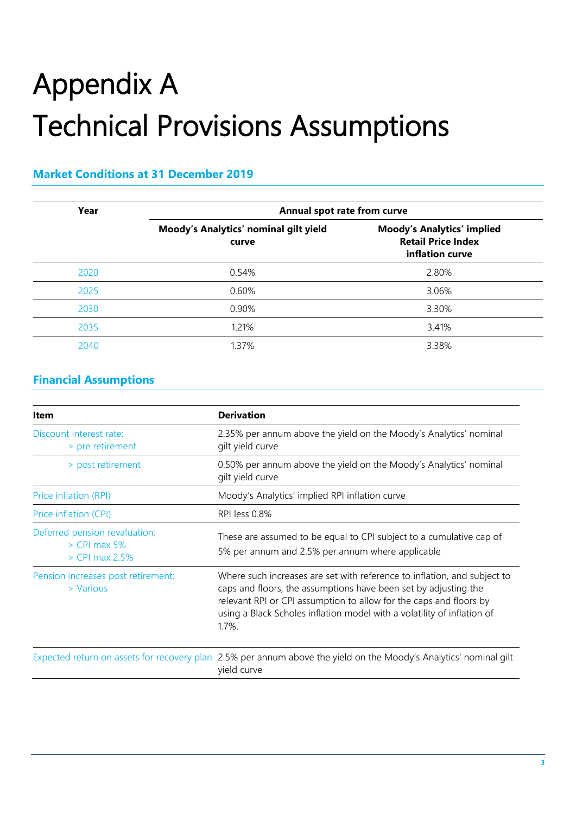# Appendix A Technical Provisions Assumptions

### **Market Conditions at 31 December 2019**

| Year | Annual spot rate from curve                    |                                                                                   |
|------|------------------------------------------------|-----------------------------------------------------------------------------------|
|      | Moody's Analytics' nominal gilt yield<br>curve | <b>Moody's Analytics' implied</b><br><b>Retail Price Index</b><br>inflation curve |
| 2020 | 0.54%                                          | 2.80%                                                                             |
| 2025 | 0.60%                                          | 3.06%                                                                             |
| 2030 | 0.90%                                          | 3.30%                                                                             |
| 2035 | 1.21%                                          | 3.41%                                                                             |
| 2040 | 1.37%                                          | 3.38%                                                                             |

## **Financial Assumptions**

| <b>Item</b>                                                         | <b>Derivation</b>                                                                                                                                                                                                                                                                                         |
|---------------------------------------------------------------------|-----------------------------------------------------------------------------------------------------------------------------------------------------------------------------------------------------------------------------------------------------------------------------------------------------------|
| Discount interest rate:<br>> pre retirement                         | 2.35% per annum above the yield on the Moody's Analytics' nominal<br>gilt yield curve                                                                                                                                                                                                                     |
| > post retirement                                                   | 0.50% per annum above the yield on the Moody's Analytics' nominal<br>gilt yield curve                                                                                                                                                                                                                     |
| Price inflation (RPI)                                               | Moody's Analytics' implied RPI inflation curve                                                                                                                                                                                                                                                            |
| Price inflation (CPI)                                               | RPI less 0.8%                                                                                                                                                                                                                                                                                             |
| Deferred pension revaluation:<br>$>$ CPI max 5%<br>$>$ CPI max 2.5% | These are assumed to be equal to CPI subject to a cumulative cap of<br>5% per annum and 2.5% per annum where applicable                                                                                                                                                                                   |
| Pension increases post retirement:<br>> Various                     | Where such increases are set with reference to inflation, and subject to<br>caps and floors, the assumptions have been set by adjusting the<br>relevant RPI or CPI assumption to allow for the caps and floors by<br>using a Black Scholes inflation model with a volatility of inflation of<br>$1.7\%$ . |
|                                                                     | Expected return on assets for recovery plan 2.5% per annum above the yield on the Moody's Analytics' nominal gilt<br>yield curve                                                                                                                                                                          |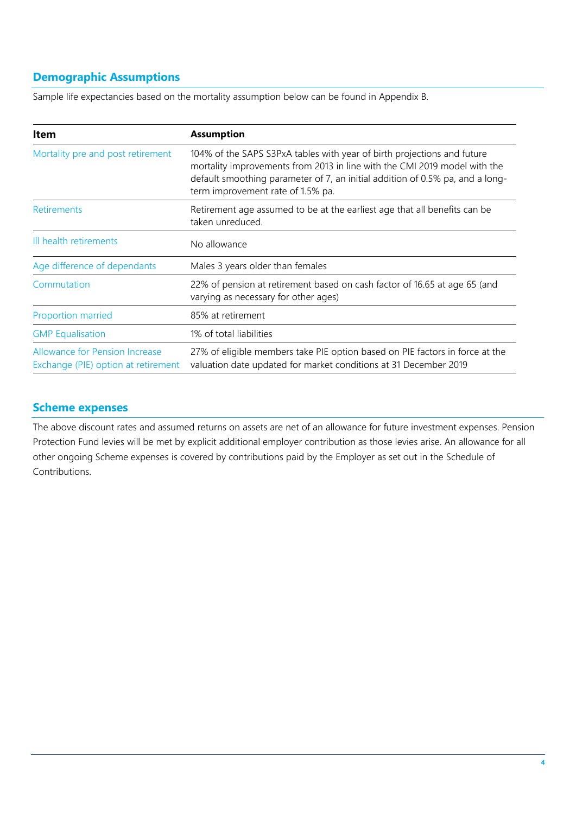## **Demographic Assumptions**

Sample life expectancies based on the mortality assumption below can be found in Appendix B.

| Item                                                                         | <b>Assumption</b>                                                                                                                                                                                                                                                          |  |
|------------------------------------------------------------------------------|----------------------------------------------------------------------------------------------------------------------------------------------------------------------------------------------------------------------------------------------------------------------------|--|
| Mortality pre and post retirement                                            | 104% of the SAPS S3PxA tables with year of birth projections and future<br>mortality improvements from 2013 in line with the CMI 2019 model with the<br>default smoothing parameter of 7, an initial addition of 0.5% pa, and a long-<br>term improvement rate of 1.5% pa. |  |
| Retirements                                                                  | Retirement age assumed to be at the earliest age that all benefits can be<br>taken unreduced.                                                                                                                                                                              |  |
| Ill health retirements                                                       | No allowance                                                                                                                                                                                                                                                               |  |
| Age difference of dependants                                                 | Males 3 years older than females                                                                                                                                                                                                                                           |  |
| Commutation                                                                  | 22% of pension at retirement based on cash factor of 16.65 at age 65 (and<br>varying as necessary for other ages)                                                                                                                                                          |  |
| <b>Proportion married</b>                                                    | 85% at retirement                                                                                                                                                                                                                                                          |  |
| <b>GMP</b> Equalisation                                                      | 1% of total liabilities                                                                                                                                                                                                                                                    |  |
| <b>Allowance for Pension Increase</b><br>Exchange (PIE) option at retirement | 27% of eligible members take PIE option based on PIE factors in force at the<br>valuation date updated for market conditions at 31 December 2019                                                                                                                           |  |

#### **Scheme expenses**

The above discount rates and assumed returns on assets are net of an allowance for future investment expenses. Pension Protection Fund levies will be met by explicit additional employer contribution as those levies arise. An allowance for all other ongoing Scheme expenses is covered by contributions paid by the Employer as set out in the Schedule of Contributions.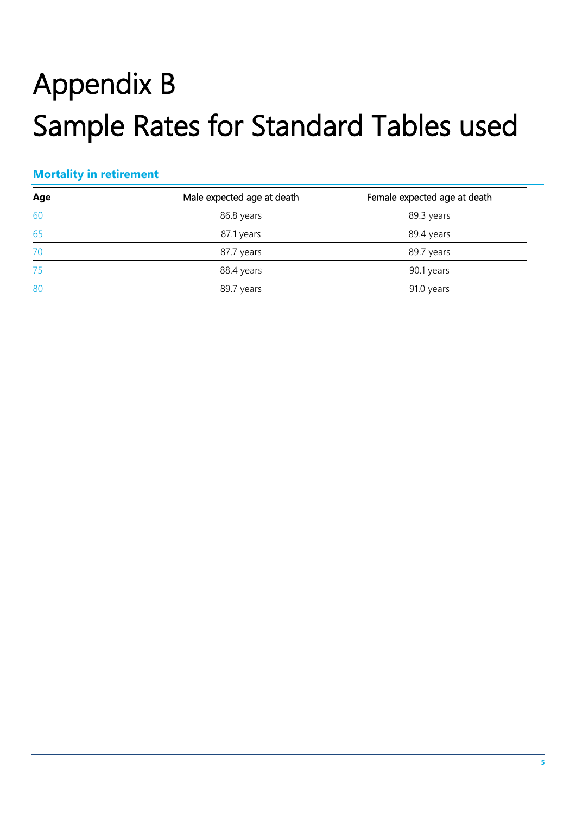## Appendix B Sample Rates for Standard Tables used

## **Mortality in retirement**

| Age | Male expected age at death | Female expected age at death |
|-----|----------------------------|------------------------------|
| 60  | 86.8 years                 | 89.3 years                   |
| 65  | 87.1 years                 | 89.4 years                   |
| 70  | 87.7 years                 | 89.7 years                   |
| 75  | 88.4 years                 | 90.1 years                   |
| 80  | 89.7 years                 | 91.0 years                   |